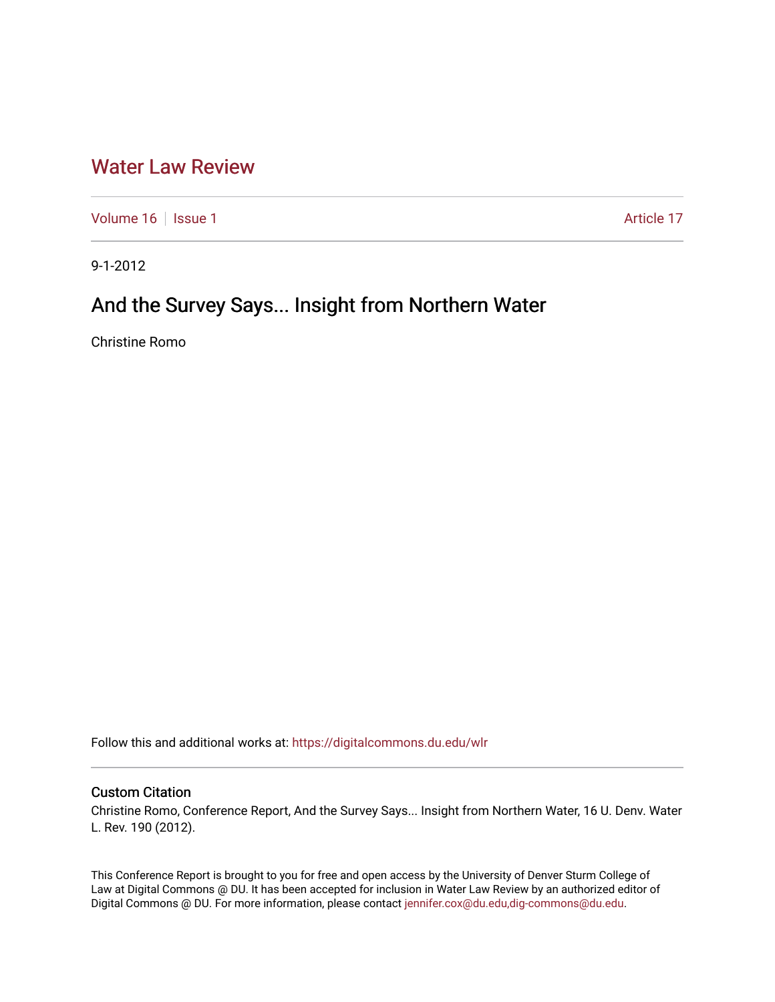## [Water Law Review](https://digitalcommons.du.edu/wlr)

[Volume 16](https://digitalcommons.du.edu/wlr/vol16) | [Issue 1](https://digitalcommons.du.edu/wlr/vol16/iss1) Article 17

9-1-2012

# And the Survey Says... Insight from Northern Water

Christine Romo

Follow this and additional works at: [https://digitalcommons.du.edu/wlr](https://digitalcommons.du.edu/wlr?utm_source=digitalcommons.du.edu%2Fwlr%2Fvol16%2Fiss1%2F17&utm_medium=PDF&utm_campaign=PDFCoverPages) 

### Custom Citation

Christine Romo, Conference Report, And the Survey Says... Insight from Northern Water, 16 U. Denv. Water L. Rev. 190 (2012).

This Conference Report is brought to you for free and open access by the University of Denver Sturm College of Law at Digital Commons @ DU. It has been accepted for inclusion in Water Law Review by an authorized editor of Digital Commons @ DU. For more information, please contact [jennifer.cox@du.edu,dig-commons@du.edu](mailto:jennifer.cox@du.edu,dig-commons@du.edu).